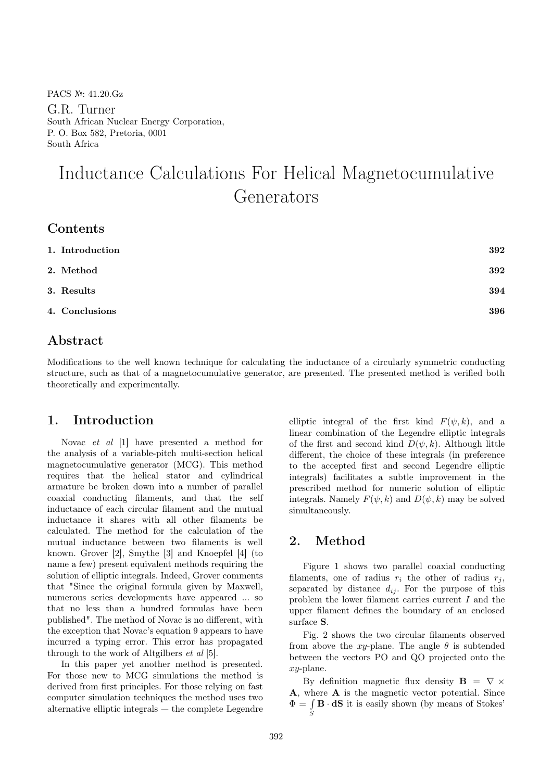PACS №: 41.20.Gz

G.R. Turner South African Nuclear Energy Corporation, P. O. Box 582, Pretoria, 0001 South Africa

# Inductance Calculations For Helical Magnetocumulative Generators

| 1. Introduction | 392 |
|-----------------|-----|
| 2. Method       | 392 |
| 3. Results      | 394 |
| 4. Conclusions  | 396 |
|                 |     |

## Abstract

Modifications to the well known technique for calculating the inductance of a circularly symmetric conducting structure, such as that of a magnetocumulative generator, are presented. The presented method is verified both theoretically and experimentally.

### 1. Introduction

Novac et al [1] have presented a method for the analysis of a variable-pitch multi-section helical magnetocumulative generator (MCG). This method requires that the helical stator and cylindrical armature be broken down into a number of parallel coaxial conducting filaments, and that the self inductance of each circular filament and the mutual inductance it shares with all other filaments be calculated. The method for the calculation of the mutual inductance between two filaments is well known. Grover [2], Smythe [3] and Knoepfel [4] (to name a few) present equivalent methods requiring the solution of elliptic integrals. Indeed, Grover comments that "Since the original formula given by Maxwell, numerous series developments have appeared ... so that no less than a hundred formulas have been published". The method of Novac is no different, with the exception that Novac's equation 9 appears to have incurred a typing error. This error has propagated through to the work of Altgilbers et al [5].

In this paper yet another method is presented. For those new to MCG simulations the method is derived from first principles. For those relying on fast computer simulation techniques the method uses two alternative elliptic integrals — the complete Legendre elliptic integral of the first kind  $F(\psi, k)$ , and a linear combination of the Legendre elliptic integrals of the first and second kind  $D(\psi, k)$ . Although little different, the choice of these integrals (in preference to the accepted first and second Legendre elliptic integrals) facilitates a subtle improvement in the prescribed method for numeric solution of elliptic integrals. Namely  $F(\psi, k)$  and  $D(\psi, k)$  may be solved simultaneously.

## 2. Method

Figure 1 shows two parallel coaxial conducting filaments, one of radius  $r_i$  the other of radius  $r_j$ , separated by distance  $d_{ij}$ . For the purpose of this problem the lower filament carries current I and the upper filament defines the boundary of an enclosed surface S.

Fig. 2 shows the two circular filaments observed from above the xy-plane. The angle  $\theta$  is subtended between the vectors PO and QO projected onto the xy-plane.

By definition magnetic flux density  $\mathbf{B} = \nabla \times$ A, where A is the magnetic vector potential. Since  $\Phi = \int \mathbf{B} \cdot d\mathbf{S}$  it is easily shown (by means of Stokes' S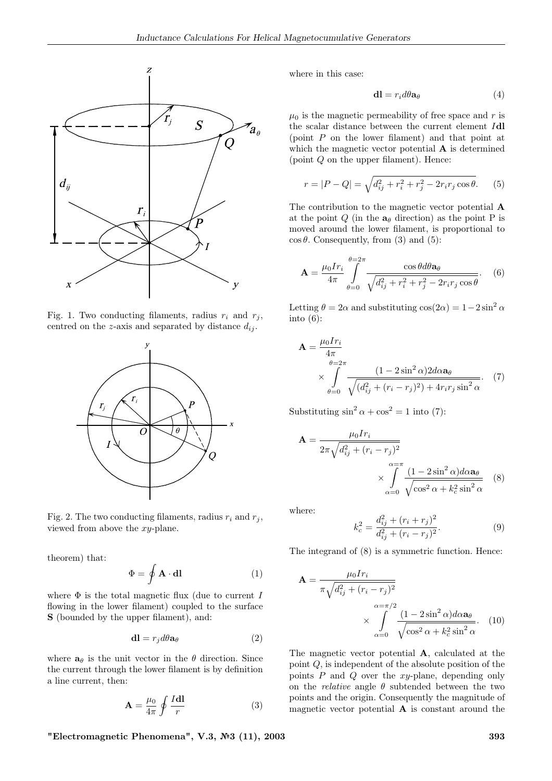

Fig. 1. Two conducting filaments, radius  $r_i$  and  $r_j$ , centred on the z-axis and separated by distance  $d_{ij}$ .



Fig. 2. The two conducting filaments, radius  $r_i$  and  $r_j$ , viewed from above the xy-plane.

theorem) that:

$$
\Phi = \oint \mathbf{A} \cdot \mathbf{dl} \tag{1}
$$

where  $\Phi$  is the total magnetic flux (due to current I flowing in the lower filament) coupled to the surface S (bounded by the upper filament), and:

$$
\mathbf{dl} = r_j d\theta \mathbf{a}_{\theta} \tag{2}
$$

where  $a_{\theta}$  is the unit vector in the  $\theta$  direction. Since the current through the lower filament is by definition a line current, then:

$$
\mathbf{A} = \frac{\mu_0}{4\pi} \oint \frac{I \mathbf{dl}}{r} \tag{3}
$$

where in this case:

$$
\mathbf{dl} = r_i d\theta \mathbf{a}_{\theta} \tag{4}
$$

 $\mu_0$  is the magnetic permeability of free space and r is the scalar distance between the current element Idl (point P on the lower filament) and that point at which the magnetic vector potential **A** is determined (point Q on the upper filament). Hence:

$$
r = |P - Q| = \sqrt{d_{ij}^2 + r_i^2 + r_j^2 - 2r_i r_j \cos \theta}.
$$
 (5)

The contribution to the magnetic vector potential A at the point Q (in the  $a_{\theta}$  direction) as the point P is moved around the lower filament, is proportional to  $\cos \theta$ . Consequently, from (3) and (5):

$$
\mathbf{A} = \frac{\mu_0 I r_i}{4\pi} \int_{\theta=0}^{\theta=2\pi} \frac{\cos\theta d\theta \mathbf{a}_{\theta}}{\sqrt{d_{ij}^2 + r_i^2 + r_j^2 - 2r_i r_j \cos\theta}}.
$$
 (6)

Letting  $\theta = 2\alpha$  and substituting  $\cos(2\alpha) = 1-2\sin^2\alpha$ into  $(6)$ :

$$
\mathbf{A} = \frac{\mu_0 Ir_i}{4\pi} \times \int_{\theta=0}^{\theta=2\pi} \frac{(1-2\sin^2\alpha)2d\alpha a_\theta}{\sqrt{(d_{ij}^2 + (r_i - r_j)^2) + 4r_i r_j \sin^2\alpha}}. (7)
$$

Substituting  $\sin^2 \alpha + \cos^2 = 1$  into (7):

$$
\mathbf{A} = \frac{\mu_0 Ir_i}{2\pi \sqrt{d_{ij}^2 + (r_i - r_j)^2}} \times \int_{\alpha=0}^{\alpha=\pi} \frac{(1 - 2\sin^2 \alpha) d\alpha \mathbf{a}_{\theta}}{\sqrt{\cos^2 \alpha + k_c^2 \sin^2 \alpha}} \quad (8)
$$

where:

$$
k_c^2 = \frac{d_{ij}^2 + (r_i + r_j)^2}{d_{ij}^2 + (r_i - r_j)^2}.
$$
 (9)

The integrand of (8) is a symmetric function. Hence:

$$
\mathbf{A} = \frac{\mu_0 Ir_i}{\pi \sqrt{d_{ij}^2 + (r_i - r_j)^2}} \times \int_{\alpha=0}^{\alpha=\pi/2} \frac{(1 - 2\sin^2 \alpha) d\alpha \mathbf{a}_{\theta}}{\sqrt{\cos^2 \alpha + k_c^2 \sin^2 \alpha}}.
$$
 (10)

The magnetic vector potential A, calculated at the point Q, is independent of the absolute position of the points  $P$  and  $Q$  over the  $xy$ -plane, depending only on the *relative* angle  $\theta$  subtended between the two points and the origin. Consequently the magnitude of magnetic vector potential  $A$  is constant around the

"Electromagnetic Phenomena", V.3, №3 (11), 2003 393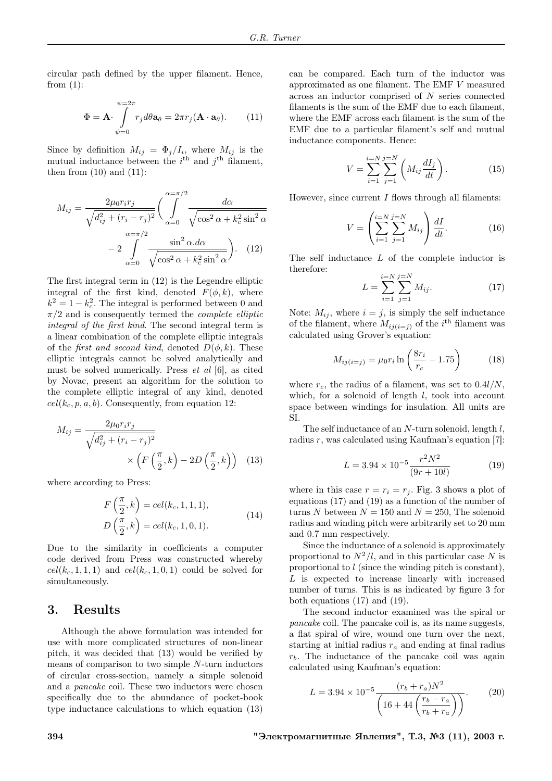circular path defined by the upper filament. Hence, from  $(1)$ :

$$
\Phi = \mathbf{A} \cdot \int_{\psi=0}^{\psi=2\pi} r_j d\theta \mathbf{a}_{\theta} = 2\pi r_j (\mathbf{A} \cdot \mathbf{a}_{\theta}). \tag{11}
$$

Since by definition  $M_{ij} = \Phi_j/I_i$ , where  $M_{ij}$  is the mutual inductance between the  $i<sup>th</sup>$  and  $j<sup>th</sup>$  filament, then from  $(10)$  and  $(11)$ :

$$
M_{ij} = \frac{2\mu_0 r_i r_j}{\sqrt{d_{ij}^2 + (r_i - r_j)^2}} \left(\int_{\alpha=0}^{\alpha=\pi/2} \frac{d\alpha}{\sqrt{\cos^2 \alpha + k_c^2 \sin^2 \alpha}} - 2 \int_{\alpha=0}^{\alpha=\pi/2} \frac{\sin^2 \alpha \cdot d\alpha}{\sqrt{\cos^2 \alpha + k_c^2 \sin^2 \alpha}}\right).
$$
 (12)

The first integral term in (12) is the Legendre elliptic integral of the first kind, denoted  $F(\phi, k)$ , where  $k^2 = 1 - k_c^2$ . The integral is performed between 0 and  $\pi/2$  and is consequently termed the *complete elliptic* integral of the first kind. The second integral term is a linear combination of the complete elliptic integrals of the *first and second kind*, denoted  $D(\phi, k)$ . These elliptic integrals cannot be solved analytically and must be solved numerically. Press et al [6], as cited by Novac, present an algorithm for the solution to the complete elliptic integral of any kind, denoted  $cell(k_c, p, a, b)$ . Consequently, from equation 12:

$$
M_{ij} = \frac{2\mu_0 r_i r_j}{\sqrt{d_{ij}^2 + (r_i - r_j)^2}} \times \left( F\left(\frac{\pi}{2}, k\right) - 2D\left(\frac{\pi}{2}, k\right) \right) \tag{13}
$$

where according to Press:

$$
F\left(\frac{\pi}{2}, k\right) = cel(k_c, 1, 1, 1),
$$
  
\n
$$
D\left(\frac{\pi}{2}, k\right) = cel(k_c, 1, 0, 1).
$$
\n(14)

Due to the similarity in coefficients a computer code derived from Press was constructed whereby  $cel(k_c, 1, 1, 1)$  and  $cel(k_c, 1, 0, 1)$  could be solved for simultaneously.

#### 3. Results

Although the above formulation was intended for use with more complicated structures of non-linear pitch, it was decided that (13) would be verified by means of comparison to two simple N-turn inductors of circular cross-section, namely a simple solenoid and a pancake coil. These two inductors were chosen specifically due to the abundance of pocket-book type inductance calculations to which equation (13)

can be compared. Each turn of the inductor was approximated as one filament. The EMF V measured across an inductor comprised of N series connected filaments is the sum of the EMF due to each filament, where the EMF across each filament is the sum of the EMF due to a particular filament's self and mutual inductance components. Hence:

$$
V = \sum_{i=1}^{i=N} \sum_{j=1}^{j=N} \left( M_{ij} \frac{dI_j}{dt} \right).
$$
 (15)

However, since current  $I$  flows through all filaments:

$$
V = \left(\sum_{i=1}^{i=N} \sum_{j=1}^{j=N} M_{ij}\right) \frac{dI}{dt}.
$$
 (16)

The self inductance L of the complete inductor is therefore:

$$
L = \sum_{i=1}^{i=N} \sum_{j=1}^{j=N} M_{ij}.
$$
 (17)

Note:  $M_{ij}$ , where  $i = j$ , is simply the self inductance of the filament, where  $M_{ij(i=j)}$  of the i<sup>th</sup> filament was calculated using Grover's equation:

$$
M_{ij(i=j)} = \mu_0 r_i \ln \left( \frac{8r_i}{r_c} - 1.75 \right) \tag{18}
$$

where  $r_c$ , the radius of a filament, was set to  $0.4l/N$ , which, for a solenoid of length  $l$ , took into account space between windings for insulation. All units are SI.

The self inductance of an N-turn solenoid, length l, radius  $r$ , was calculated using Kaufman's equation [7]:

$$
L = 3.94 \times 10^{-5} \frac{r^2 N^2}{(9r + 10l)}\tag{19}
$$

where in this case  $r = r_i = r_j$ . Fig. 3 shows a plot of equations (17) and (19) as a function of the number of turns N between  $N = 150$  and  $N = 250$ , The solenoid radius and winding pitch were arbitrarily set to 20 mm and 0.7 mm respectively.

Since the inductance of a solenoid is approximately proportional to  $N^2/l$ , and in this particular case N is proportional to l (since the winding pitch is constant), L is expected to increase linearly with increased number of turns. This is as indicated by figure 3 for both equations (17) and (19).

The second inductor examined was the spiral or pancake coil. The pancake coil is, as its name suggests, a flat spiral of wire, wound one turn over the next, starting at initial radius  $r_a$  and ending at final radius  $r<sub>b</sub>$ . The inductance of the pancake coil was again calculated using Kaufman's equation:

$$
L = 3.94 \times 10^{-5} \frac{(r_b + r_a)N^2}{\left(16 + 44\left(\frac{r_b - r_a}{r_b + r_a}\right)\right)}.
$$
 (20)

394 "Электромагнитные Явления", Т.3, №3 (11), 2003 г.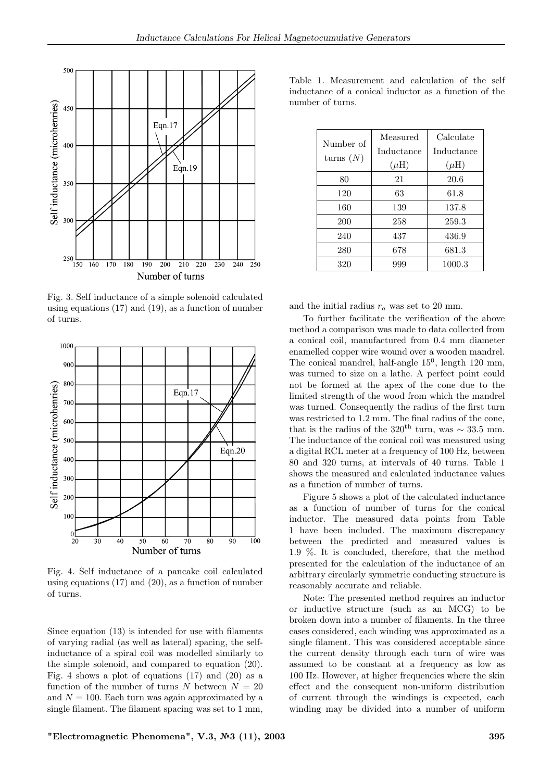

Fig. 3. Self inductance of a simple solenoid calculated using equations (17) and (19), as a function of number of turns.



Fig. 4. Self inductance of a pancake coil calculated using equations (17) and (20), as a function of number of turns.

Since equation (13) is intended for use with filaments of varying radial (as well as lateral) spacing, the selfinductance of a spiral coil was modelled similarly to the simple solenoid, and compared to equation (20). Fig. 4 shows a plot of equations  $(17)$  and  $(20)$  as a function of the number of turns N between  $N = 20$ and  $N = 100$ . Each turn was again approximated by a single filament. The filament spacing was set to 1 mm,

Table 1. Measurement and calculation of the self inductance of a conical inductor as a function of the number of turns.

| Number of<br>turns $(N)$ | Measured<br>Inductance<br>$(\mu H)$ | Calculate<br>Inductance<br>$(\mu H)$ |
|--------------------------|-------------------------------------|--------------------------------------|
| 80                       | 21                                  | 20.6                                 |
| 120                      | 63                                  | 61.8                                 |
| 160                      | 139                                 | 137.8                                |
| 200                      | 258                                 | 259.3                                |
| 240                      | 437                                 | 436.9                                |
| 280                      | 678                                 | 681.3                                |
| 320                      | 999                                 | 1000.3                               |

and the initial radius  $r_a$  was set to 20 mm.

To further facilitate the verification of the above method a comparison was made to data collected from a conical coil, manufactured from 0.4 mm diameter enamelled copper wire wound over a wooden mandrel. The conical mandrel, half-angle  $15^0$ , length  $120$  mm, was turned to size on a lathe. A perfect point could not be formed at the apex of the cone due to the limited strength of the wood from which the mandrel was turned. Consequently the radius of the first turn was restricted to 1.2 mm. The final radius of the cone, that is the radius of the 320<sup>th</sup> turn, was  $\sim$  33.5 mm. The inductance of the conical coil was measured using a digital RCL meter at a frequency of 100 Hz, between 80 and 320 turns, at intervals of 40 turns. Table 1 shows the measured and calculated inductance values as a function of number of turns.

Figure 5 shows a plot of the calculated inductance as a function of number of turns for the conical inductor. The measured data points from Table 1 have been included. The maximum discrepancy between the predicted and measured values is 1.9 %. It is concluded, therefore, that the method presented for the calculation of the inductance of an arbitrary circularly symmetric conducting structure is reasonably accurate and reliable.

Note: The presented method requires an inductor or inductive structure (such as an MCG) to be broken down into a number of filaments. In the three cases considered, each winding was approximated as a single filament. This was considered acceptable since the current density through each turn of wire was assumed to be constant at a frequency as low as 100 Hz. However, at higher frequencies where the skin effect and the consequent non-uniform distribution of current through the windings is expected, each winding may be divided into a number of uniform